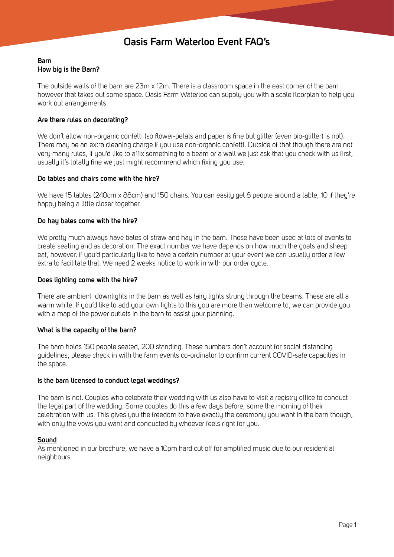# **Oasis Farm Waterloo Event FAQ's**

# **Barn How big is the Barn?**

The outside walls of the barn are 23m x 12m. There is a classroom space in the east corner of the barn however that takes out some space. Oasis Farm Waterloo can supply you with a scale floorplan to help you work out arrangements.

# **Are there rules on decorating?**

We don't allow non-organic confetti (so flower-petals and paper is fine but glitter (even bio-glitter) is not). There may be an extra cleaning charge if you use non-organic confetti. Outside of that though there are not very many rules, if you'd like to affix something to a beam or a wall we just ask that you check with us first, usually it's totally fine we just might recommend which fixing you use.

# **Do tables and chairs come with the hire?**

We have 15 tables (240cm x 88cm) and 150 chairs. You can easily get 8 people around a table, 10 if they're happy being a little closer together.

# **Do hay bales come with the hire?**

We pretty much always have bales of straw and hay in the barn. These have been used at lots of events to create seating and as decoration. The exact number we have depends on how much the goats and sheep eat, however, if you'd particularly like to have a certain number at your event we can usually order a few extra to facilitate that. We need 2 weeks notice to work in with our order cycle.

#### **Does lighting come with the hire?**

There are ambient downlights in the barn as well as fairy lights strung through the beams. These are all a warm white. If you'd like to add your own lights to this you are more than welcome to, we can provide you with a map of the power outlets in the barn to assist your planning.

# **What is the capacity of the barn?**

The barn holds 150 people seated, 200 standing. These numbers don't account for social distancing guidelines, please check in with the farm events co-ordinator to confirm current COVID-safe capacities in the space.

#### **Is the barn licensed to conduct legal weddings?**

The barn is not. Couples who celebrate their wedding with us also have to visit a registry office to conduct the legal part of the wedding. Some couples do this a few days before, some the morning of their celebration with us. This gives you the freedom to have exactly the ceremony you want in the barn though, with only the vows you want and conducted by whoever feels right for you.

# **Sound**

As mentioned in our brochure, we have a 10pm hard cut off for amplified music due to our residential neighbours.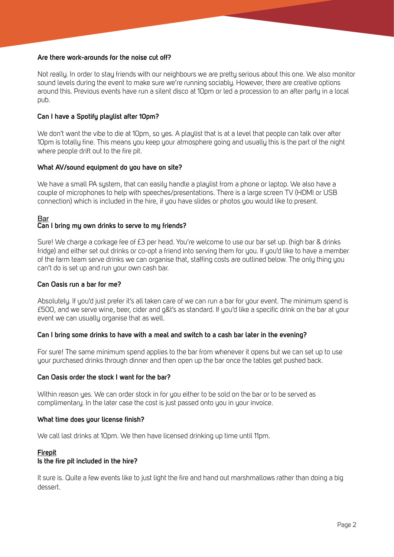## **Are there work-arounds for the noise cut off?**

Not really. In order to stay friends with our neighbours we are pretty serious about this one. We also monitor sound levels during the event to make sure we're running sociably. However, there are creative options around this. Previous events have run a silent disco at 10pm or led a procession to an after party in a local pub.

## **Can I have a Spotify playlist after 10pm?**

We don't want the vibe to die at 10pm, so yes. A playlist that is at a level that people can talk over after 10pm is totally fine. This means you keep your atmosphere going and usually this is the part of the night where people drift out to the fire pit.

## **What AV/sound equipment do you have on site?**

We have a small PA system, that can easily handle a playlist from a phone or laptop. We also have a couple of microphones to help with speeches/presentations. There is a large screen TV (HDMI or USB connection) which is included in the hire, if you have slides or photos you would like to present.

# <u>Bar</u>

# **Can I bring my own drinks to serve to my friends?**

Sure! We charge a corkage fee of £3 per head. You're welcome to use our bar set up. (high bar & drinks fridge) and either set out drinks or co-opt a friend into serving them for you. If you'd like to have a member of the farm team serve drinks we can organise that, staffing costs are outlined below. The only thing you can't do is set up and run your own cash bar.

#### **Can Oasis run a bar for me?**

Absolutely. If you'd just prefer it's all taken care of we can run a bar for your event. The minimum spend is £500, and we serve wine, beer, cider and g&t's as standard. If you'd like a specific drink on the bar at your event we can usually organise that as well.

# **Can I bring some drinks to have with a meal and switch to a cash bar later in the evening?**

For sure! The same minimum spend applies to the bar from whenever it opens but we can set up to use your purchased drinks through dinner and then open up the bar once the tables get pushed back.

#### **Can Oasis order the stock I want for the bar?**

Within reason yes. We can order stock in for you either to be sold on the bar or to be served as complimentary. In the later case the cost is just passed onto you in your invoice.

#### **What time does your license finish?**

We call last drinks at 10pm. We then have licensed drinking up time until 11pm.

#### **Firepit**

#### **Is the fire pit included in the hire?**

It sure is. Quite a few events like to just light the fire and hand out marshmallows rather than doing a big dessert.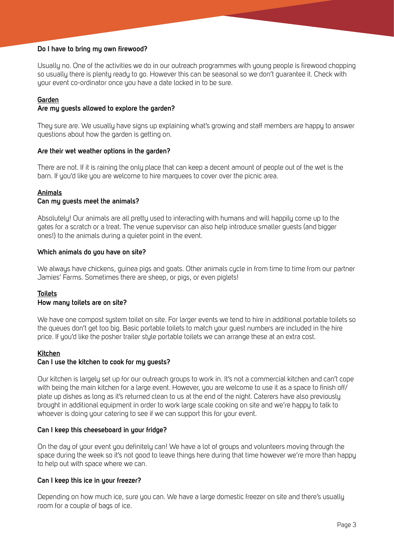## **Do I have to bring my own firewood?**

Usually no. One of the activities we do in our outreach programmes with young people is firewood chopping so usually there is plenty ready to go. However this can be seasonal so we don't guarantee it. Check with your event co-ordinator once you have a date locked in to be sure.

# **Garden**

## **Are my guests allowed to explore the garden?**

They sure are. We usually have signs up explaining what's growing and staff members are happy to answer questions about how the garden is getting on.

## **Are their wet weather options in the garden?**

There are not. If it is raining the only place that can keep a decent amount of people out of the wet is the barn. If you'd like you are welcome to hire marquees to cover over the picnic area.

## **Animals**

## **Can my guests meet the animals?**

Absolutely! Our animals are all pretty used to interacting with humans and will happily come up to the gates for a scratch or a treat. The venue supervisor can also help introduce smaller guests (and bigger ones!) to the animals during a quieter point in the event.

## **Which animals do you have on site?**

We always have chickens, guinea pigs and goats. Other animals cycle in from time to time from our partner Jamies' Farms. Sometimes there are sheep, or pigs, or even piglets!

# **Toilets**

#### **How many toilets are on site?**

We have one compost system toilet on site. For larger events we tend to hire in additional portable toilets so the queues don't get too big. Basic portable toilets to match your guest numbers are included in the hire price. If you'd like the posher trailer style portable toilets we can arrange these at an extra cost.

#### **Kitchen**

#### **Can I use the kitchen to cook for my guests?**

Our kitchen is largely set up for our outreach groups to work in. It's not a commercial kitchen and can't cope with being the main kitchen for a large event. However, you are welcome to use it as a space to finish off/ plate up dishes as long as it's returned clean to us at the end of the night. Caterers have also previously brought in additional equipment in order to work large scale cooking on site and we're happy to talk to whoever is doing your catering to see if we can support this for your event.

#### **Can I keep this cheeseboard in your fridge?**

On the day of your event you definitely can! We have a lot of groups and volunteers moving through the space during the week so it's not good to leave things here during that time however we're more than happy to help out with space where we can.

#### **Can I keep this ice in your freezer?**

Depending on how much ice, sure you can. We have a large domestic freezer on site and there's usually room for a couple of bags of ice.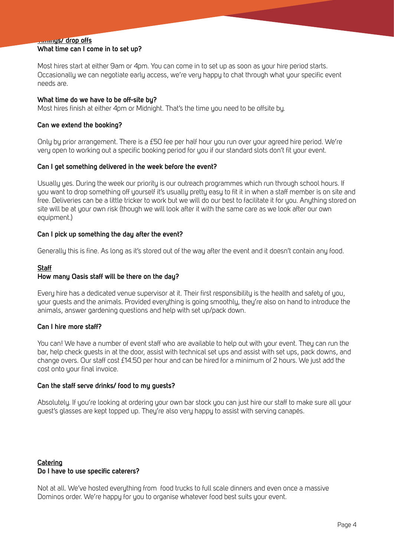# **Timings/ drop offs**

## **What time can I come in to set up?**

Most hires start at either 9am or 4pm. You can come in to set up as soon as your hire period starts. Occasionally we can negotiate early access, we're very happy to chat through what your specific event needs are.

#### **What time do we have to be off-site by?**

Most hires finish at either 4pm or Midnight. That's the time you need to be offsite by.

#### **Can we extend the booking?**

Only by prior arrangement. There is a £50 fee per half hour you run over your agreed hire period. We're very open to working out a specific booking period for you if our standard slots don't fit your event.

#### **Can I get something delivered in the week before the event?**

Usually yes. During the week our priority is our outreach programmes which run through school hours. If you want to drop something off yourself it's usually pretty easy to fit it in when a staff member is on site and free. Deliveries can be a little tricker to work but we will do our best to facilitate it for you. Anything stored on site will be at your own risk (though we will look after it with the same care as we look after our own equipment.)

#### **Can I pick up something the day after the event?**

Generally this is fine. As long as it's stored out of the way after the event and it doesn't contain any food.

#### **Staff**

#### **How many Oasis staff will be there on the day?**

Every hire has a dedicated venue supervisor at it. Their first responsibility is the health and safety of you, your guests and the animals. Provided everything is going smoothly, they're also on hand to introduce the animals, answer gardening questions and help with set up/pack down.

#### **Can I hire more staff?**

You can! We have a number of event staff who are available to help out with your event. They can run the bar, help check guests in at the door, assist with technical set ups and assist with set ups, pack downs, and change overs. Our staff cost £14.50 per hour and can be hired for a minimum of 2 hours. We just add the cost onto your final invoice.

#### **Can the staff serve drinks/ food to my guests?**

Absolutely. If you're looking at ordering your own bar stock you can just hire our staff to make sure all your guest's glasses are kept topped up. They're also very happy to assist with serving canapés.

# **Catering Do I have to use specific caterers?**

Not at all. We've hosted everything from food trucks to full scale dinners and even once a massive Dominos order. We're happy for you to organise whatever food best suits your event.